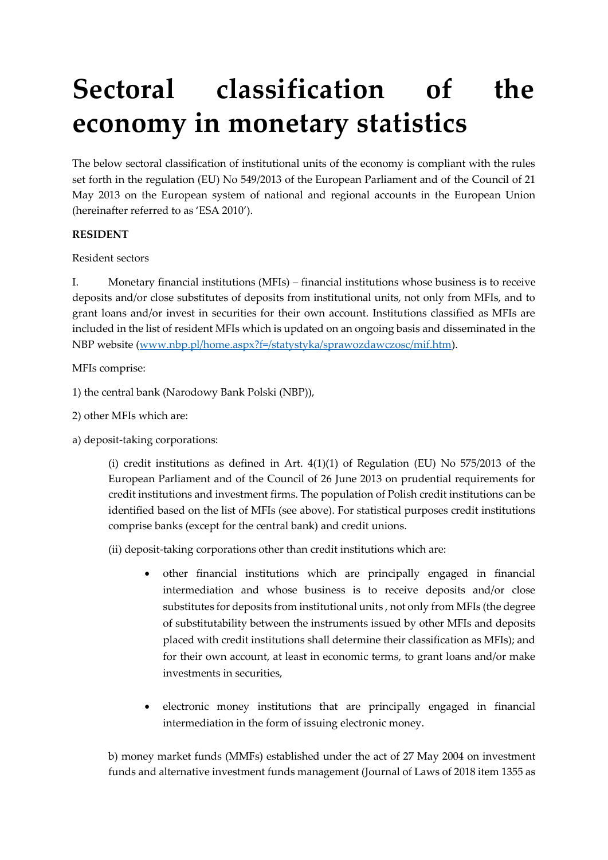# **Sectoral classification of the economy in monetary statistics**

The below sectoral classification of institutional units of the economy is compliant with the rules set forth in the regulation (EU) No 549/2013 of the European Parliament and of the Council of 21 May 2013 on the European system of national and regional accounts in the European Union (hereinafter referred to as 'ESA 2010').

## **RESIDENT**

Resident sectors

I. Monetary financial institutions (MFIs) – financial institutions whose business is to receive deposits and/or close substitutes of deposits from institutional units, not only from MFIs, and to grant loans and/or invest in securities for their own account. Institutions classified as MFIs are included in the list of resident MFIs which is updated on an ongoing basis and disseminated in the NBP website [\(www.nbp.pl/home.aspx?f=/statystyka/sprawozdawczosc/mif.htm\)](http://www.nbp.pl/home.aspx?f=/statystyka/sprawozdawczosc/mif.htm).

MFIs comprise:

- 1) the central bank (Narodowy Bank Polski (NBP)),
- 2) other MFIs which are:
- a) deposit-taking corporations:

(i) credit institutions as defined in Art.  $4(1)(1)$  of Regulation (EU) No 575/2013 of the European Parliament and of the Council of 26 June 2013 on prudential requirements for credit institutions and investment firms. The population of Polish credit institutions can be identified based on the list of MFIs (see above). For statistical purposes credit institutions comprise banks (except for the central bank) and credit unions.

(ii) deposit-taking corporations other than credit institutions which are:

- other financial institutions which are principally engaged in financial intermediation and whose business is to receive deposits and/or close substitutes for deposits from institutional units , not only from MFIs (the degree of substitutability between the instruments issued by other MFIs and deposits placed with credit institutions shall determine their classification as MFIs); and for their own account, at least in economic terms, to grant loans and/or make investments in securities,
- electronic money institutions that are principally engaged in financial intermediation in the form of issuing electronic money.

b) money market funds (MMFs) established under the act of 27 May 2004 on investment funds and alternative investment funds management (Journal of Laws of 2018 item 1355 as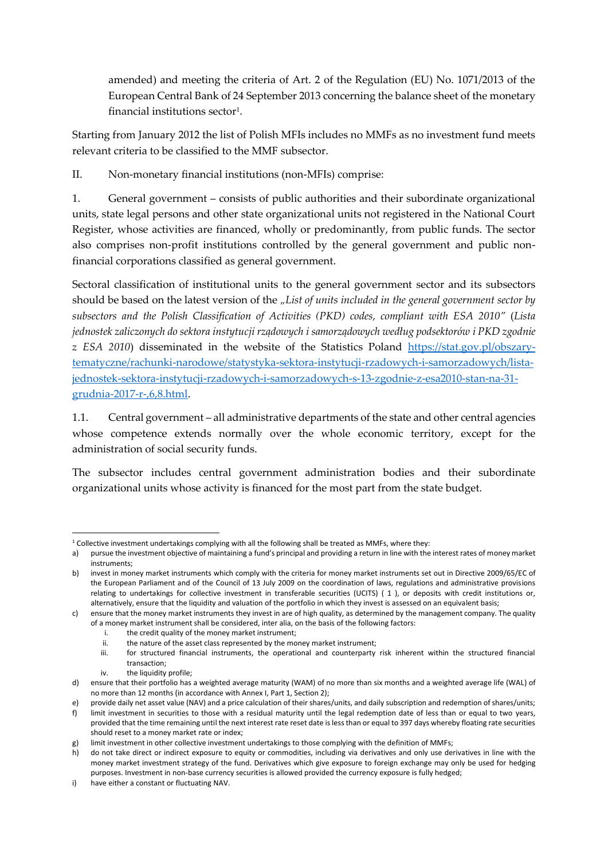amended) and meeting the criteria of Art. 2 of the Regulation (EU) No. 1071/2013 of the European Central Bank of 24 September 2013 concerning the balance sheet of the monetary  $f$ inancial institutions sector $^1$ .

Starting from January 2012 the list of Polish MFIs includes no MMFs as no investment fund meets relevant criteria to be classified to the MMF subsector.

II. Non-monetary financial institutions (non-MFIs) comprise:

1. General government – consists of public authorities and their subordinate organizational units, state legal persons and other state organizational units not registered in the National Court Register, whose activities are financed, wholly or predominantly, from public funds. The sector also comprises non-profit institutions controlled by the general government and public nonfinancial corporations classified as general government.

Sectoral classification of institutional units to the general government sector and its subsectors should be based on the latest version of the *"List of units included in the general government sector by subsectors and the Polish Classification of Activities (PKD) codes, compliant with ESA 2010"* (*Lista jednostek zaliczonych do sektora instytucji rządowych i samorządowych według podsektorów i PKD zgodnie z ESA 2010*) disseminated in the website of the Statistics Poland [https://stat.gov.pl/obszary](https://stat.gov.pl/obszary-tematyczne/rachunki-narodowe/statystyka-sektora-instytucji-rzadowych-i-samorzadowych/lista-jednostek-sektora-instytucji-rzadowych-i-samorzadowych-s-13-zgodnie-z-esa2010-stan-na-31-grudnia-2017-r-,6,8.html)[tematyczne/rachunki-narodowe/statystyka-sektora-instytucji-rzadowych-i-samorzadowych/lista](https://stat.gov.pl/obszary-tematyczne/rachunki-narodowe/statystyka-sektora-instytucji-rzadowych-i-samorzadowych/lista-jednostek-sektora-instytucji-rzadowych-i-samorzadowych-s-13-zgodnie-z-esa2010-stan-na-31-grudnia-2017-r-,6,8.html)[jednostek-sektora-instytucji-rzadowych-i-samorzadowych-s-13-zgodnie-z-esa2010-stan-na-31](https://stat.gov.pl/obszary-tematyczne/rachunki-narodowe/statystyka-sektora-instytucji-rzadowych-i-samorzadowych/lista-jednostek-sektora-instytucji-rzadowych-i-samorzadowych-s-13-zgodnie-z-esa2010-stan-na-31-grudnia-2017-r-,6,8.html) [grudnia-2017-r-,6,8.html.](https://stat.gov.pl/obszary-tematyczne/rachunki-narodowe/statystyka-sektora-instytucji-rzadowych-i-samorzadowych/lista-jednostek-sektora-instytucji-rzadowych-i-samorzadowych-s-13-zgodnie-z-esa2010-stan-na-31-grudnia-2017-r-,6,8.html)

1.1. Central government – all administrative departments of the state and other central agencies whose competence extends normally over the whole economic territory, except for the administration of social security funds.

The subsector includes central government administration bodies and their subordinate organizational units whose activity is financed for the most part from the state budget.

- i. the credit quality of the money market instrument;<br>ii. the nature of the asset class represented by the mo
- ii. the nature of the asset class represented by the money market instrument;<br>iii. for structured financial instruments, the operational and counternarty

iv. the liquidity profile;

<sup>1</sup>  $1$  Collective investment undertakings complying with all the following shall be treated as MMFs, where they:

a) pursue the investment objective of maintaining a fund's principal and providing a return in line with the interest rates of money market instruments;

b) invest in money market instruments which comply with the criteria for money market instruments set out in Directive 2009/65/EC of the European Parliament and of the Council of 13 July 2009 on the coordination of laws, regulations and administrative provisions relating to undertakings for collective investment in transferable securities (UCITS) ( 1 ), or deposits with credit institutions or, alternatively, ensure that the liquidity and valuation of the portfolio in which they invest is assessed on an equivalent basis;

c) ensure that the money market instruments they invest in are of high quality, as determined by the management company. The quality of a money market instrument shall be considered, inter alia, on the basis of the following factors:

for structured financial instruments, the operational and counterparty risk inherent within the structured financial transaction;

d) ensure that their portfolio has a weighted average maturity (WAM) of no more than six months and a weighted average life (WAL) of no more than 12 months (in accordance with Annex I, Part 1, Section 2);

e) provide daily net asset value (NAV) and a price calculation of their shares/units, and daily subscription and redemption of shares/units;

f) limit investment in securities to those with a residual maturity until the legal redemption date of less than or equal to two years, provided that the time remaining until the next interest rate reset date is less than or equal to 397 days whereby floating rate securities should reset to a money market rate or index;

g) limit investment in other collective investment undertakings to those complying with the definition of MMFs;

h) do not take direct or indirect exposure to equity or commodities, including via derivatives and only use derivatives in line with the money market investment strategy of the fund. Derivatives which give exposure to foreign exchange may only be used for hedging purposes. Investment in non-base currency securities is allowed provided the currency exposure is fully hedged;

i) have either a constant or fluctuating NAV.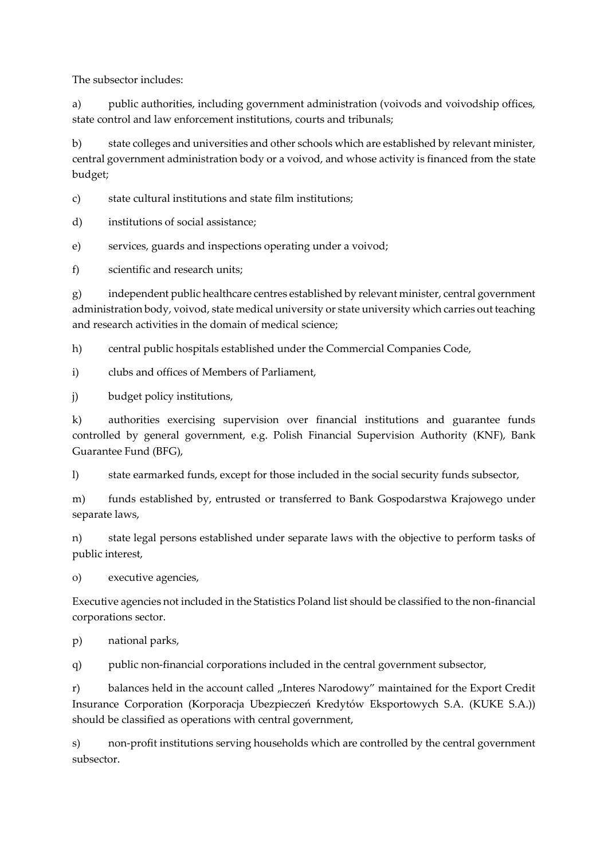The subsector includes:

a) public authorities, including government administration (voivods and voivodship offices, state control and law enforcement institutions, courts and tribunals;

b) state colleges and universities and other schools which are established by relevant minister, central government administration body or a voivod, and whose activity is financed from the state budget;

c) state cultural institutions and state film institutions;

d) institutions of social assistance;

e) services, guards and inspections operating under a voivod;

f) scientific and research units;

g) independent public healthcare centres established by relevant minister, central government administration body, voivod, state medical university or state university which carries out teaching and research activities in the domain of medical science;

h) central public hospitals established under the Commercial Companies Code,

i) clubs and offices of Members of Parliament,

j) budget policy institutions,

k) authorities exercising supervision over financial institutions and guarantee funds controlled by general government, e.g. Polish Financial Supervision Authority (KNF), Bank Guarantee Fund (BFG),

l) state earmarked funds, except for those included in the social security funds subsector,

m) funds established by, entrusted or transferred to Bank Gospodarstwa Krajowego under separate laws,

n) state legal persons established under separate laws with the objective to perform tasks of public interest,

o) executive agencies,

Executive agencies not included in the Statistics Poland list should be classified to the non-financial corporations sector.

p) national parks,

q) public non-financial corporations included in the central government subsector,

r) balances held in the account called "Interes Narodowy" maintained for the Export Credit Insurance Corporation (Korporacja Ubezpieczeń Kredytów Eksportowych S.A. (KUKE S.A.)) should be classified as operations with central government,

s) non-profit institutions serving households which are controlled by the central government subsector.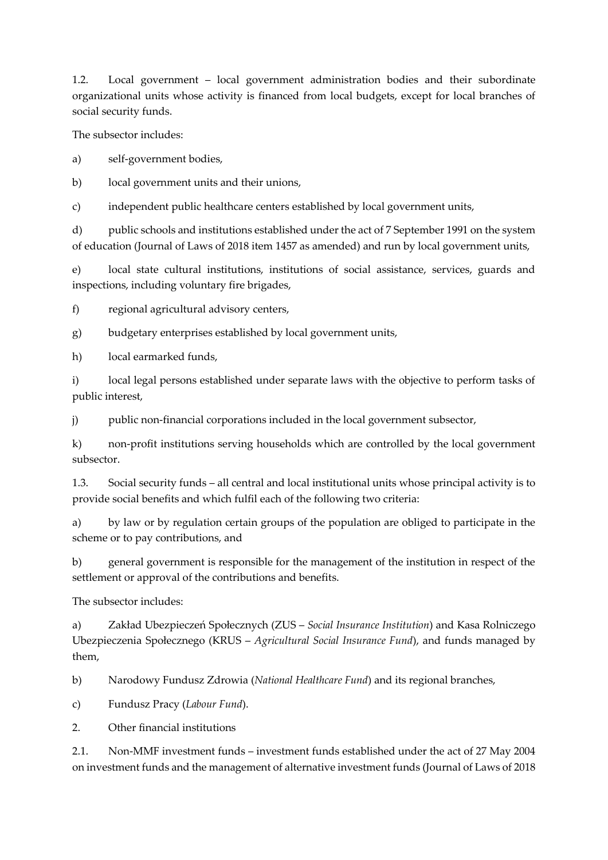1.2. Local government – local government administration bodies and their subordinate organizational units whose activity is financed from local budgets, except for local branches of social security funds.

The subsector includes:

a) self-government bodies,

b) local government units and their unions,

c) independent public healthcare centers established by local government units,

d) public schools and institutions established under the act of 7 September 1991 on the system of education (Journal of Laws of 2018 item 1457 as amended) and run by local government units,

e) local state cultural institutions, institutions of social assistance, services, guards and inspections, including voluntary fire brigades,

f) regional agricultural advisory centers,

g) budgetary enterprises established by local government units,

h) local earmarked funds,

i) local legal persons established under separate laws with the objective to perform tasks of public interest,

j) public non-financial corporations included in the local government subsector,

k) non-profit institutions serving households which are controlled by the local government subsector.

1.3. Social security funds – all central and local institutional units whose principal activity is to provide social benefits and which fulfil each of the following two criteria:

a) by law or by regulation certain groups of the population are obliged to participate in the scheme or to pay contributions, and

b) general government is responsible for the management of the institution in respect of the settlement or approval of the contributions and benefits.

The subsector includes:

a) Zakład Ubezpieczeń Społecznych (ZUS – *Social Insurance Institution*) and Kasa Rolniczego Ubezpieczenia Społecznego (KRUS – *Agricultural Social Insurance Fund*), and funds managed by them,

b) Narodowy Fundusz Zdrowia (*National Healthcare Fund*) and its regional branches,

c) Fundusz Pracy (*Labour Fund*).

2. Other financial institutions

2.1. Non-MMF investment funds – investment funds established under the act of 27 May 2004 on investment funds and the management of alternative investment funds (Journal of Laws of 2018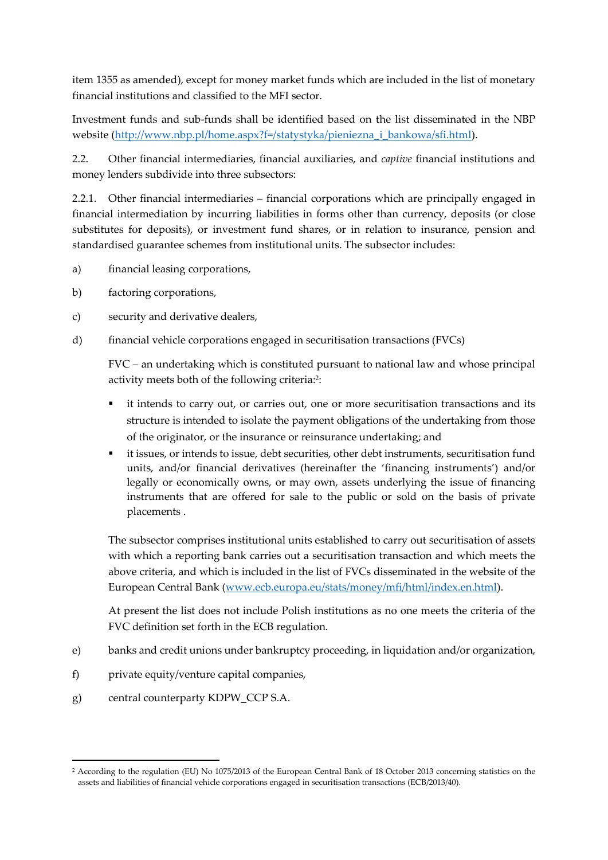item 1355 as amended), except for money market funds which are included in the list of monetary financial institutions and classified to the MFI sector.

Investment funds and sub-funds shall be identified based on the list disseminated in the NBP website [\(http://www.nbp.pl/home.aspx?f=/statystyka/pieniezna\\_i\\_bankowa/sfi.html\)](http://www.nbp.pl/home.aspx?f=/statystyka/pieniezna_i_bankowa/sfi.html).

2.2. Other financial intermediaries, financial auxiliaries, and *captive* financial institutions and money lenders subdivide into three subsectors:

2.2.1. Other financial intermediaries – financial corporations which are principally engaged in financial intermediation by incurring liabilities in forms other than currency, deposits (or close substitutes for deposits), or investment fund shares, or in relation to insurance, pension and standardised guarantee schemes from institutional units. The subsector includes:

- a) financial leasing corporations,
- b) factoring corporations,
- c) security and derivative dealers,
- d) financial vehicle corporations engaged in securitisation transactions (FVCs)

FVC – an undertaking which is constituted pursuant to national law and whose principal activity meets both of the following criteria:<sup>2</sup>:

- it intends to carry out, or carries out, one or more securitisation transactions and its structure is intended to isolate the payment obligations of the undertaking from those of the originator, or the insurance or reinsurance undertaking; and
- it issues, or intends to issue, debt securities, other debt instruments, securitisation fund units, and/or financial derivatives (hereinafter the 'financing instruments') and/or legally or economically owns, or may own, assets underlying the issue of financing instruments that are offered for sale to the public or sold on the basis of private placements .

The subsector comprises institutional units established to carry out securitisation of assets with which a reporting bank carries out a securitisation transaction and which meets the above criteria, and which is included in the list of FVCs disseminated in the website of the European Central Bank [\(www.ecb.europa.eu/stats/money/mfi/html/index.en.html\)](http://www.ecb.europa.eu/stats/money/mfi/html/index.en.html).

At present the list does not include Polish institutions as no one meets the criteria of the FVC definition set forth in the ECB regulation.

- e) banks and credit unions under bankruptcy proceeding, in liquidation and/or organization,
- f) private equity/venture capital companies,
- g) central counterparty KDPW\_CCP S.A.

1

<sup>2</sup> According to the regulation (EU) No 1075/2013 of the European Central Bank of 18 October 2013 concerning statistics on the assets and liabilities of financial vehicle corporations engaged in securitisation transactions (ECB/2013/40).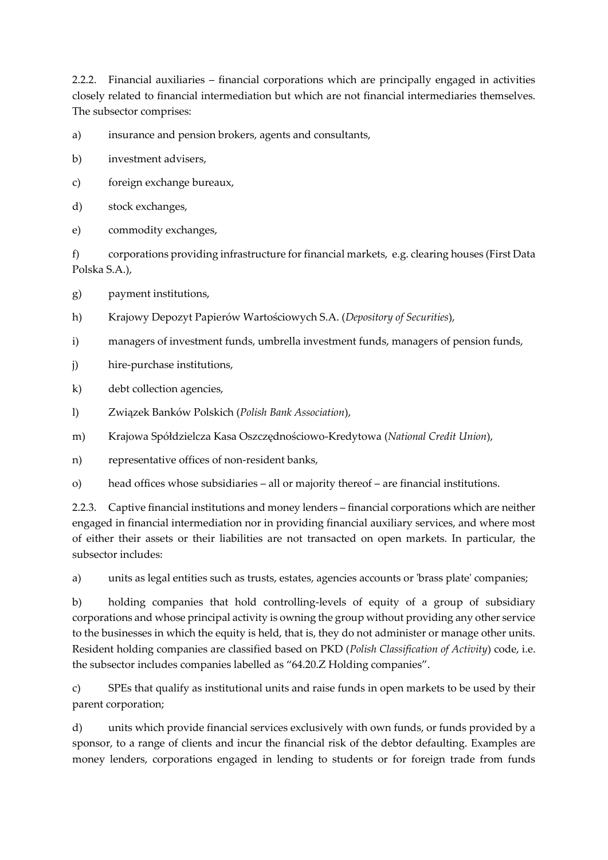2.2.2. Financial auxiliaries – financial corporations which are principally engaged in activities closely related to financial intermediation but which are not financial intermediaries themselves. The subsector comprises:

- a) insurance and pension brokers, agents and consultants,
- b) investment advisers,
- c) foreign exchange bureaux,
- d) stock exchanges,
- e) commodity exchanges,

f) corporations providing infrastructure for financial markets, e.g. clearing houses (First Data Polska S.A.),

g) payment institutions,

- h) Krajowy Depozyt Papierów Wartościowych S.A. (*Depository of Securities*),
- i) managers of investment funds, umbrella investment funds, managers of pension funds,
- j) hire-purchase institutions,

k) debt collection agencies,

- l) Związek Banków Polskich (*Polish Bank Association*),
- m) Krajowa Spółdzielcza Kasa Oszczędnościowo-Kredytowa (*National Credit Union*),
- n) representative offices of non-resident banks,
- o) head offices whose subsidiaries all or majority thereof are financial institutions.

2.2.3. Captive financial institutions and money lenders – financial corporations which are neither engaged in financial intermediation nor in providing financial auxiliary services, and where most of either their assets or their liabilities are not transacted on open markets. In particular, the subsector includes:

a) units as legal entities such as trusts, estates, agencies accounts or 'brass plate' companies;

b) holding companies that hold controlling-levels of equity of a group of subsidiary corporations and whose principal activity is owning the group without providing any other service to the businesses in which the equity is held, that is, they do not administer or manage other units. Resident holding companies are classified based on PKD (*Polish Classification of Activity*) code, i.e. the subsector includes companies labelled as "64.20.Z Holding companies".

c) SPEs that qualify as institutional units and raise funds in open markets to be used by their parent corporation;

d) units which provide financial services exclusively with own funds, or funds provided by a sponsor, to a range of clients and incur the financial risk of the debtor defaulting. Examples are money lenders, corporations engaged in lending to students or for foreign trade from funds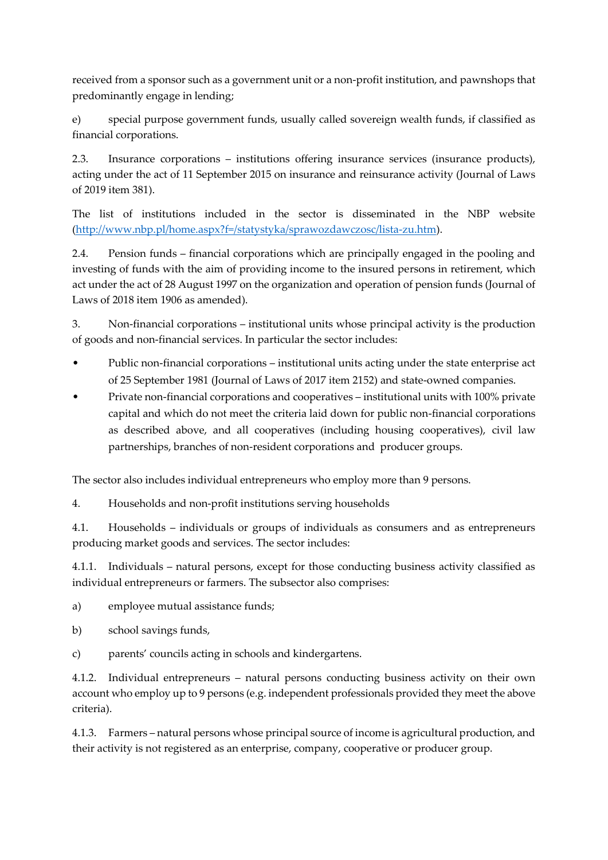received from a sponsor such as a government unit or a non-profit institution, and pawnshops that predominantly engage in lending;

e) special purpose government funds, usually called sovereign wealth funds, if classified as financial corporations.

2.3. Insurance corporations – institutions offering insurance services (insurance products), acting under the act of 11 September 2015 on insurance and reinsurance activity (Journal of Laws of 2019 item 381).

The list of institutions included in the sector is disseminated in the NBP website [\(http://www.nbp.pl/home.aspx?f=/statystyka/sprawozdawczosc/lista-zu.htm\)](http://www.nbp.pl/home.aspx?f=/statystyka/sprawozdawczosc/lista-zu.htm).

2.4. Pension funds – financial corporations which are principally engaged in the pooling and investing of funds with the aim of providing income to the insured persons in retirement, which act under the act of 28 August 1997 on the organization and operation of pension funds (Journal of Laws of 2018 item 1906 as amended).

3. Non-financial corporations – institutional units whose principal activity is the production of goods and non-financial services. In particular the sector includes:

- Public non-financial corporations institutional units acting under the state enterprise act of 25 September 1981 (Journal of Laws of 2017 item 2152) and state-owned companies.
- Private non-financial corporations and cooperatives institutional units with 100% private capital and which do not meet the criteria laid down for public non-financial corporations as described above, and all cooperatives (including housing cooperatives), civil law partnerships, branches of non-resident corporations and producer groups.

The sector also includes individual entrepreneurs who employ more than 9 persons.

4. Households and non-profit institutions serving households

4.1. Households – individuals or groups of individuals as consumers and as entrepreneurs producing market goods and services. The sector includes:

4.1.1. Individuals – natural persons, except for those conducting business activity classified as individual entrepreneurs or farmers. The subsector also comprises:

a) employee mutual assistance funds;

- b) school savings funds,
- c) parents' councils acting in schools and kindergartens.

4.1.2. Individual entrepreneurs – natural persons conducting business activity on their own account who employ up to 9 persons (e.g. independent professionals provided they meet the above criteria).

4.1.3. Farmers – natural persons whose principal source of income is agricultural production, and their activity is not registered as an enterprise, company, cooperative or producer group.